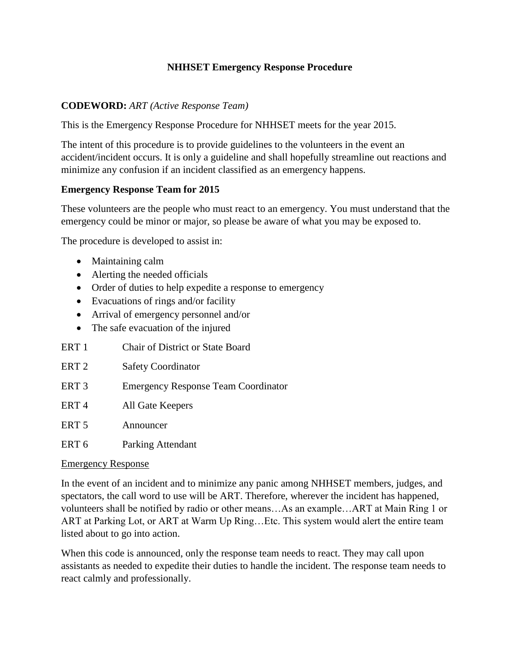## **NHHSET Emergency Response Procedure**

### **CODEWORD:** *ART (Active Response Team)*

This is the Emergency Response Procedure for NHHSET meets for the year 2015.

The intent of this procedure is to provide guidelines to the volunteers in the event an accident/incident occurs. It is only a guideline and shall hopefully streamline out reactions and minimize any confusion if an incident classified as an emergency happens.

#### **Emergency Response Team for 2015**

These volunteers are the people who must react to an emergency. You must understand that the emergency could be minor or major, so please be aware of what you may be exposed to.

The procedure is developed to assist in:

- Maintaining calm
- Alerting the needed officials
- Order of duties to help expedite a response to emergency
- Evacuations of rings and/or facility
- Arrival of emergency personnel and/or
- The safe evacuation of the injured
- ERT 1 Chair of District or State Board
- ERT 2 Safety Coordinator
- ERT 3 Emergency Response Team Coordinator
- ERT 4 All Gate Keepers
- ERT 5 Announcer
- ERT 6 Parking Attendant

#### Emergency Response

In the event of an incident and to minimize any panic among NHHSET members, judges, and spectators, the call word to use will be ART. Therefore, wherever the incident has happened, volunteers shall be notified by radio or other means…As an example…ART at Main Ring 1 or ART at Parking Lot, or ART at Warm Up Ring…Etc. This system would alert the entire team listed about to go into action.

When this code is announced, only the response team needs to react. They may call upon assistants as needed to expedite their duties to handle the incident. The response team needs to react calmly and professionally.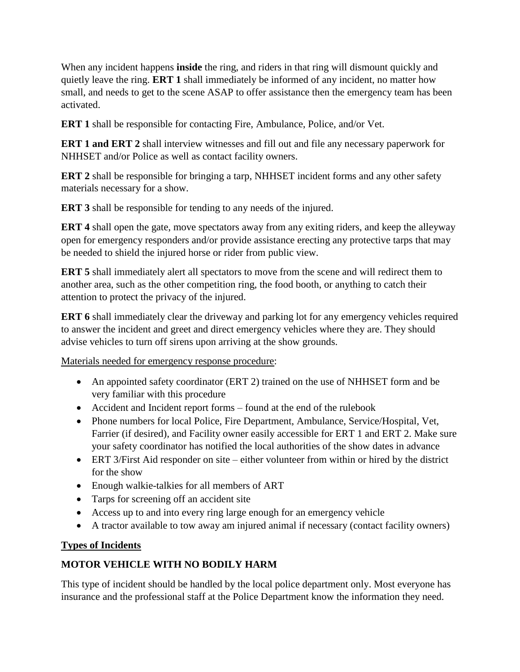When any incident happens **inside** the ring, and riders in that ring will dismount quickly and quietly leave the ring. **ERT 1** shall immediately be informed of any incident, no matter how small, and needs to get to the scene ASAP to offer assistance then the emergency team has been activated.

**ERT 1** shall be responsible for contacting Fire, Ambulance, Police, and/or Vet.

**ERT 1 and ERT 2** shall interview witnesses and fill out and file any necessary paperwork for NHHSET and/or Police as well as contact facility owners.

**ERT 2** shall be responsible for bringing a tarp, NHHSET incident forms and any other safety materials necessary for a show.

**ERT 3** shall be responsible for tending to any needs of the injured.

**ERT 4** shall open the gate, move spectators away from any exiting riders, and keep the alleyway open for emergency responders and/or provide assistance erecting any protective tarps that may be needed to shield the injured horse or rider from public view.

**ERT 5** shall immediately alert all spectators to move from the scene and will redirect them to another area, such as the other competition ring, the food booth, or anything to catch their attention to protect the privacy of the injured.

**ERT 6** shall immediately clear the driveway and parking lot for any emergency vehicles required to answer the incident and greet and direct emergency vehicles where they are. They should advise vehicles to turn off sirens upon arriving at the show grounds.

Materials needed for emergency response procedure:

- An appointed safety coordinator (ERT 2) trained on the use of NHHSET form and be very familiar with this procedure
- Accident and Incident report forms found at the end of the rulebook
- Phone numbers for local Police, Fire Department, Ambulance, Service/Hospital, Vet, Farrier (if desired), and Facility owner easily accessible for ERT 1 and ERT 2. Make sure your safety coordinator has notified the local authorities of the show dates in advance
- ERT 3/First Aid responder on site either volunteer from within or hired by the district for the show
- Enough walkie-talkies for all members of ART
- Tarps for screening off an accident site
- Access up to and into every ring large enough for an emergency vehicle
- A tractor available to tow away am injured animal if necessary (contact facility owners)

## **Types of Incidents**

# **MOTOR VEHICLE WITH NO BODILY HARM**

This type of incident should be handled by the local police department only. Most everyone has insurance and the professional staff at the Police Department know the information they need.